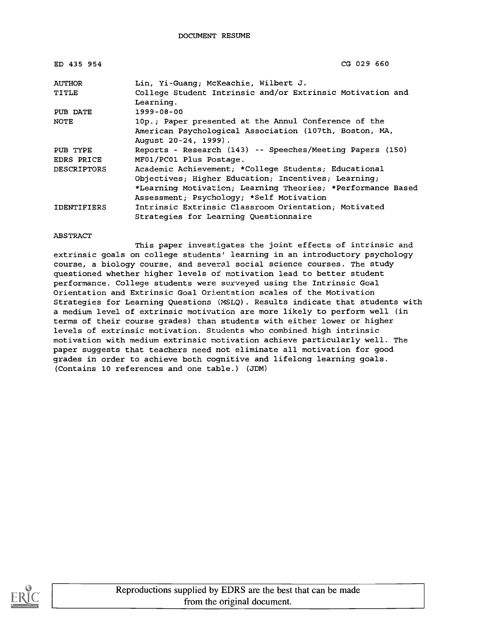| ED 435 954         | CG 029 660                                                                     |
|--------------------|--------------------------------------------------------------------------------|
| <b>AUTHOR</b>      | Lin, Yi-Guang; McKeachie, Wilbert J.                                           |
| <b>TITLE</b>       | College Student Intrinsic and/or Extrinsic Motivation and<br>Learning.         |
| PUB DATE           | $1999 - 08 - 00$                                                               |
| <b>NOTE</b>        | 10p.; Paper presented at the Annul Conference of the                           |
|                    | American Psychological Association (107th, Boston, MA,<br>August 20-24, 1999). |
| PUB TYPE           | Reports - Research (143) -- Speeches/Meeting Papers (150)                      |
| EDRS PRICE         | MF01/PC01 Plus Postage.                                                        |
| <b>DESCRIPTORS</b> | Academic Achievement; *College Students; Educational                           |
|                    | Objectives; Higher Education; Incentives; Learning;                            |
|                    | *Learning Motivation; Learning Theories; *Performance Based                    |
|                    | Assessment; Psychology; *Self Motivation                                       |
| <b>IDENTIFIERS</b> | Intrinsic Extrinsic Classroom Orientation; Motivated                           |
|                    | Strategies for Learning Questionnaire                                          |

#### ABSTRACT

This paper investigates the joint effects of intrinsic and extrinsic goals on college students' learning in an introductory psychology course, a biology course, and several social science courses. The study questioned whether higher levels of motivation lead to better student performance. College students were surveyed using the Intrinsic Goal Orientation and Extrinsic Goal Orientation scales of the Motivation Strategies for Learning Questions (MSLQ). Results indicate that students with a medium level of extrinsic motivation are more likely to perform well (in terms of their course grades) than students with either lower or higher levels of extrinsic motivation. Students who combined high intrinsic motivation with medium extrinsic motivation achieve particularly well. The paper suggests that teachers need not eliminate all motivation for good grades in order to achieve both cognitive and lifelong learning goals. (Contains 10 references and one table.) (JDM)

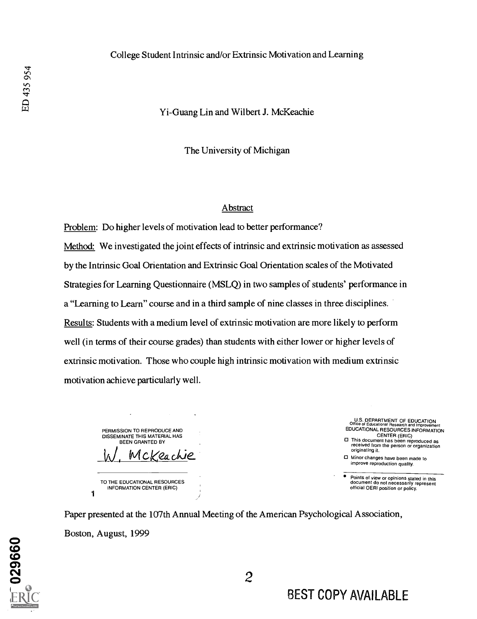#### College Student Intrinsic and/or Extrinsic Motivation and Learning

#### Yi-Guang Lin and Wilbert J. McKeachie

The University of Michigan

#### Abstract

Problem: Do higher levels of motivation lead to better performance? Method: We investigated the joint effects of intrinsic and extrinsic motivation as assessed by the Intrinsic Goal Orientation and Extrinsic Goal Orientation scales of the Motivated Strategies for Learning Questionnaire (MSLQ) in two samples of students' performance in a "Learning to Learn" course and in a third sample of nine classes in three disciplines. Results: Students with a medium level of extrinsic motivation are more likely to perform well (in terms of their course grades) than students with either lower or higher levels of extrinsic motivation. Those who couple high intrinsic motivation with medium extrinsic motivation achieve particularly well.

| PERMISSION TO REPRODUCE AND<br>DISSEMINATE THIS MATERIAL HAS<br><b>BEEN GRANTED BY</b><br>Mckeachie |  |
|-----------------------------------------------------------------------------------------------------|--|
| TO THE EDUCATIONAL RESOURCES<br>INFORMATION CENTER (ERIC)                                           |  |

U.S. DEPARTMENT OF EDUCATION Office of Educational Research and Improvement EDUCATIONAL RESOURCES INFORMATION CENTER (ERIC) This document has been reproduced as received from the person or organization

originating it.

Minor changes have been made to improve reproduction quality.

Points of view or opinions stated in this document do not necessarily represent official OERI position or policy.

Paper presented at the 107th Annual Meeting of the American Psychological Association, Boston, August, 1999

029660

BEST COPY AVAILABLE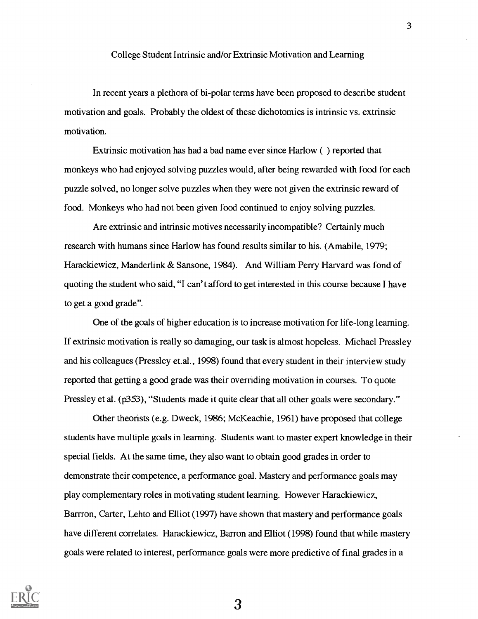In recent years a plethora of bi-polar terms have been proposed to describe student motivation and goals. Probably the oldest of these dichotomies is intrinsic vs. extrinsic motivation.

Extrinsic motivation has had a bad name ever since Harlow ( ) reported that monkeys who had enjoyed solving puzzles would, after being rewarded with food for each puzzle solved, no longer solve puzzles when they were not given the extrinsic reward of food. Monkeys who had not been given food continued to enjoy solving puzzles.

Are extrinsic and intrinsic motives necessarily incompatible? Certainly much research with humans since Harlow has found results similar to his. (Amabile, 1979; Harackiewicz, Manderlink & Sansone, 1984). And William Perry Harvard was fond of quoting the student who said, "I can't afford to get interested in this course because I have to get a good grade".

One of the goals of higher education is to increase motivation for life-long learning. If extrinsic motivation is really so damaging, our task is almost hopeless. Michael Pressley and his colleagues (Pressley et.al., 1998) found that every student in their interview study reported that getting a good grade was their overriding motivation in courses. To quote Pressley et al. (p353), "Students made it quite clear that all other goals were secondary."

Other theorists (e.g. Dweck, 1986; McKeachie, 1961) have proposed that college students have multiple goals in learning. Students want to master expert knowledge in their special fields. At the same time, they also want to obtain good grades in order to demonstrate their competence, a performance goal. Mastery and performance goals may play complementary roles in motivating student learning. However Harackiewicz, Barrron, Carter, Lehto and Elliot (1997) have shown that mastery and performance goals have different correlates. Harackiewicz, Barron and Elliot (1998) found that while mastery goals were related to interest, performance goals were more predictive of final grades in a

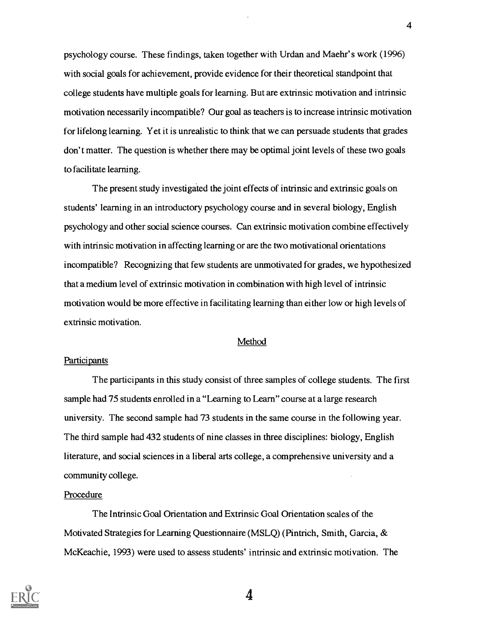psychology course. These findings, taken together with Urdan and Maehr's work (1996) with social goals for achievement, provide evidence for their theoretical standpoint that college students have multiple goals for learning. But are extrinsic motivation and intrinsic motivation necessarily incompatible? Our goal as teachers is to increase intrinsic motivation for lifelong learning. Yet it is unrealistic to think that we can persuade students that grades don't matter. The question is whether there may be optimal joint levels of these two goals to facilitate learning.

The present study investigated the joint effects of intrinsic and extrinsic goals on students' learning in an introductory psychology course and in several biology, English psychology and other social science courses. Can extrinsic motivation combine effectively with intrinsic motivation in affecting learning or are the two motivational orientations incompatible? Recognizing that few students are unmotivated for grades, we hypothesized that a medium level of extrinsic motivation in combination with high level of intrinsic motivation would be more effective in facilitating learning than either low or high levels of extrinsic motivation.

#### Method

#### **Participants**

The participants in this study consist of three samples of college students. The first sample had 75 students enrolled in a "Learning to Learn" course at a large research university. The second sample had 73 students in the same course in the following year. The third sample had 432 students of nine classes in three disciplines: biology, English literature, and social sciences in a liberal arts college, a comprehensive university and a community college.

#### Procedure

The Intrinsic Goal Orientation and Extrinsic Goal Orientation scales of the Motivated Strategies for Learning Questionnaire (MSLQ) (Pintrich, Smith, Garcia, & McKeachie, 1993) were used to assess students' intrinsic and extrinsic motivation. The

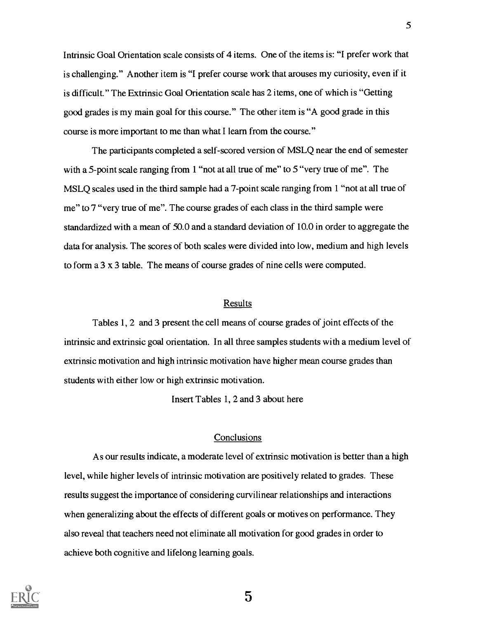Intrinsic Goal Orientation scale consists of 4 items. One of the items is: "I prefer work that is challenging." Another item is "I prefer course work that arouses my curiosity, even if it is difficult." The Extrinsic Goal Orientation scale has 2 items, one of which is "Getting good grades is my main goal for this course." The other item is "A good grade in this course is more important to me than what I learn from the course."

The participants completed a self-scored version of MSLQ near the end of semester with a 5-point scale ranging from 1 "not at all true of me" to 5 "very true of me". The MSLQ scales used in the third sample had a 7-point scale ranging from 1 "not at all true of me" to 7 "very true of me". The course grades of each class in the third sample were standardized with a mean of 50.0 and a standard deviation of 10.0 in order to aggregate the data for analysis. The scores of both scales were divided into low, medium and high levels to form a 3 x 3 table. The means of course grades of nine cells were computed.

#### Results

Tables 1, 2 and 3 present the cell means of course grades of joint effects of the intrinsic and extrinsic goal orientation. In all three samples students with a medium level of extrinsic motivation and high intrinsic motivation have higher mean course grades than students with either low or high extrinsic motivation.

Insert Tables 1, 2 and 3 about here

#### **Conclusions**

As our results indicate, a moderate level of extrinsic motivation is better than a high level, while higher levels of intrinsic motivation are positively related to grades. These results suggest the importance of considering curvilinear relationships and interactions when generalizing about the effects of different goals or motives on performance. They also reveal that teachers need not eliminate all motivation for good grades in order to achieve both cognitive and lifelong learning goals.

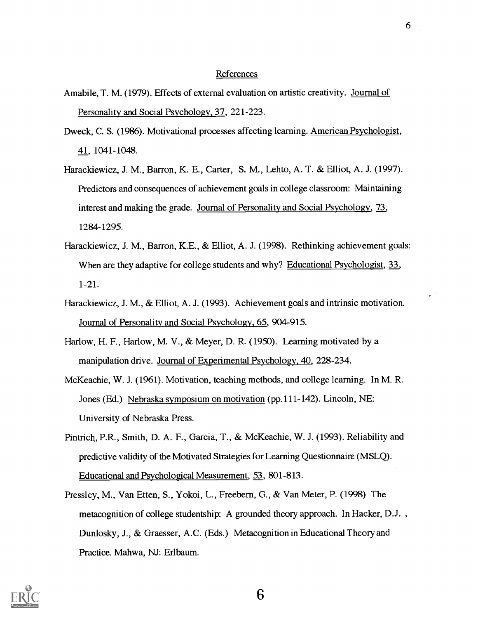#### References

- Amabile, T. M. (1979). Effects of external evaluation on artistic creativity. Journal of Personality and Social Psychology, 37, 221-223.
- Dweck, C. S. (1986). Motivational processes affecting learning. American Psychologist, 41, 1041-1048.
- Harackiewicz, J. M., Barron, K. E., Carter, S. M., Lehto, A. T. & Elliot, A. J. (1997). Predictors and consequences of achievement goals in college classroom: Maintaining interest and making the grade. Journal of Personality and Social Psychology, 73, 1284-1295.
- Harackiewicz, J. M., Barron, K.E., & Elliot, A. J. (1998). Rethinking achievement goals: When are they adaptive for college students and why? Educational Psychologist, 33, 1-21.
- Harackiewicz, J. M., & Elliot, A. J. (1993). Achievement goals and intrinsic motivation. Journal of Personality and Social Psychology, 65, 904-915.
- Harlow, H. F., Harlow, M. V., & Meyer, D. R. (1950). Learning motivated by a manipulation drive. Journal of Experimental Psychology, 40, 228-234.
- McKeachie, W. J. (1961). Motivation, teaching methods, and college learning. In M. R. Jones (Ed.) Nebraska symposium on motivation (pp.111-142). Lincoln, NE: University of Nebraska Press.
- Pintrich, P.R., Smith, D. A. F., Garcia, T., & McKeachie, W. J. (1993). Reliability and predictive validity of the Motivated Strategies for Learning Questionnaire (MSLQ). Educational and Psychological Measurement, 53, 801-813.
- Pressley, M., Van Etten, S., Yokoi, L., Freebern, G., & Van Meter, P. (1998) The metacognition of college studentship: A grounded theory approach. In Hacker, D.J. , Dunlosky, J., & Graesser, A.C. (Eds.) Metacognition in Educational Theory and Practice. Mahwa, NJ: Erlbaum.



6

 $\overline{a}$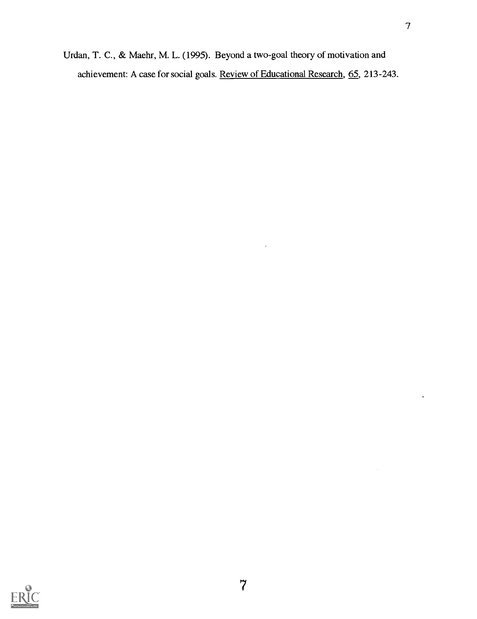Urdan, T. C., & Maehr, M. L. (1995). Beyond a two-goal theory of motivation and achievement: A case for social goals. Review of Educational Research, 65, 213-243.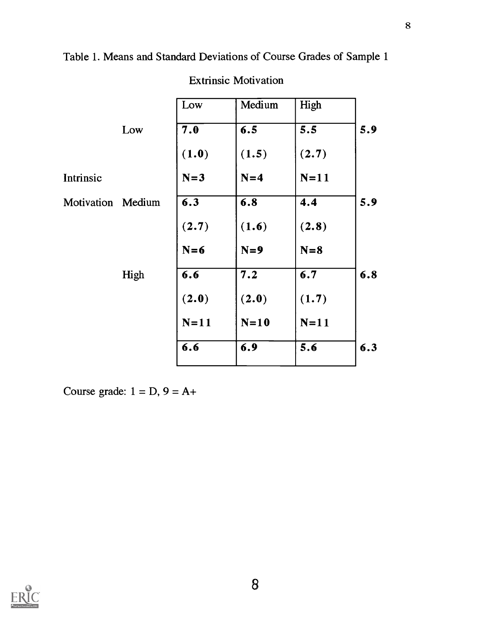Table 1. Means and Standard Deviations of Course Grades of Sample 1

|                   |      | Low    | Medium | High   |     |
|-------------------|------|--------|--------|--------|-----|
|                   | Low  | 7.0    | 6.5    | 5.5    | 5.9 |
|                   |      | (1.0)  | (1.5)  | (2.7)  |     |
| Intrinsic         |      | $N=3$  | $N=4$  | $N=11$ |     |
| Motivation Medium |      | 6.3    | 6.8    | 4.4    | 5.9 |
|                   |      | (2.7)  | (1.6)  | (2.8)  |     |
|                   |      | $N=6$  | $N=9$  | $N=8$  |     |
|                   | High | 6.6    | 7.2    | 6.7    | 6.8 |
|                   |      | (2.0)  | (2.0)  | (1.7)  |     |
|                   |      | $N=11$ | $N=10$ | $N=11$ |     |
|                   |      | 6.6    | 6.9    | 5.6    | 6.3 |
|                   |      |        |        |        |     |

Extrinsic Motivation

Course grade:  $1 = D$ ,  $9 = A +$ 

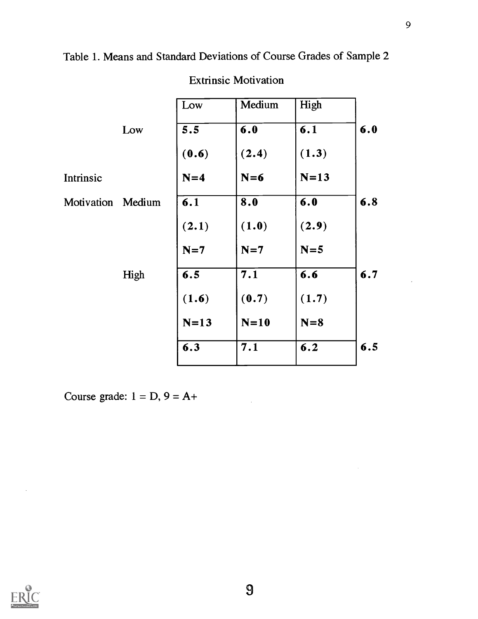Table 1. Means and Standard Deviations of Course Grades of Sample 2

| Medium<br>High |                                                     |
|----------------|-----------------------------------------------------|
| 6.1            | 6.0                                                 |
| (1.3)          |                                                     |
| $N=13$         |                                                     |
| 6.0            | 6.8                                                 |
| (2.9)          |                                                     |
| $N=5$          |                                                     |
| 6.6            | 6.7                                                 |
| (1.7)          |                                                     |
| $N=8$          |                                                     |
| 6.2            | 6.5                                                 |
|                | (2.4)<br>$N=6$<br>(1.0)<br>$N=7$<br>(0.7)<br>$N=10$ |

# Extrinsic Motivation

Course grade:  $1 = D$ ,  $9 = A +$ 

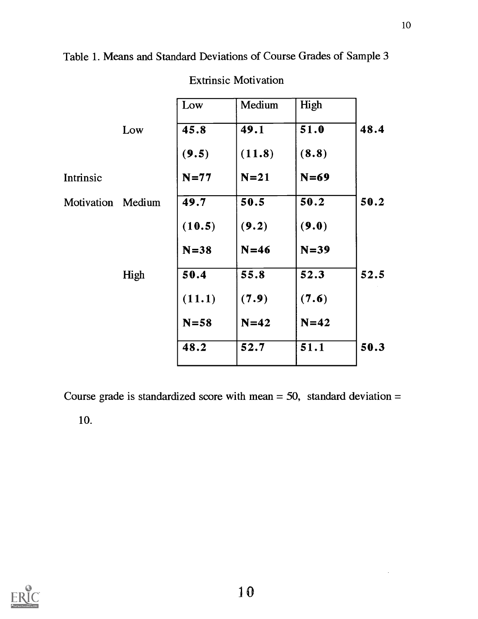Table 1. Means and Standard Deviations of Course Grades of Sample 3

|                   |      | Low      | Medium | High   |      |
|-------------------|------|----------|--------|--------|------|
|                   | Low  | 45.8     | 49.1   | 51.0   | 48.4 |
|                   |      | (9.5)    | (11.8) | (8.8)  |      |
| Intrinsic         |      | $N=77$   | $N=21$ | $N=69$ |      |
| Motivation Medium |      | 49.7     | 50.5   | 50.2   | 50.2 |
|                   |      | (10.5)   | (9.2)  | (9.0)  |      |
|                   |      | $N = 38$ | $N=46$ | $N=39$ |      |
|                   | High | 50.4     | 55.8   | 52.3   | 52.5 |
|                   |      | (11.1)   | (7.9)  | (7.6)  |      |
|                   |      | $N = 58$ | $N=42$ | $N=42$ |      |
|                   |      | 48.2     | 52.7   | 51.1   | 50.3 |
|                   |      |          |        |        |      |

Extrinsic Motivation

Course grade is standardized score with mean  $=$  50, standard deviation  $=$ 

10.

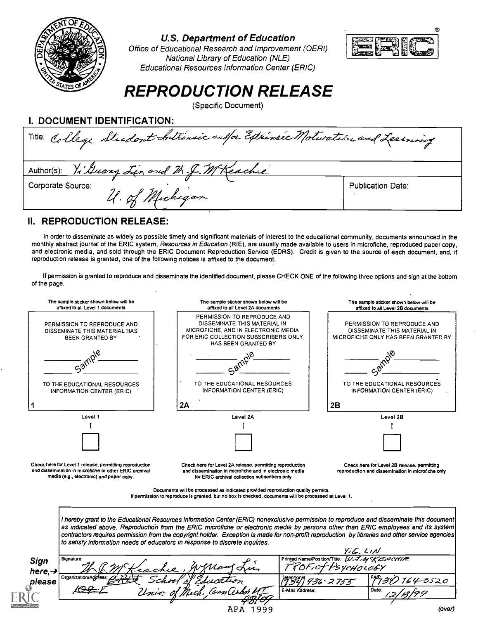

#### U.S. Department of Education



Office of Educational Research and Improvement (OERI) National Library of Education (NLE) Educational Resources Information Center (ERIC)

# REPRODUCTION RELEASE

(Specific Document)

| I. DOCUMENT IDENTIFICATION:                                             |                          |
|-------------------------------------------------------------------------|--------------------------|
| Title College Student Sultinsic on for Extrinsic Motwation and Learning |                          |
| Author(s): Vi Guang Lin and M. J. M Keachie                             |                          |
| Corporate Source:<br>U. of Michigan                                     | <b>Publication Date:</b> |

### II. REPRODUCTION RELEASE:

In order to disseminate as widely as possible timely and significant materials of interest to the educational community, documents announced in the monthly abstract journal of the ERIC system, Resources in Education (RIE), are usually made available to users in microfiche, reproduced paper copy, and electronic media, and sold through the ERIC Document Reproduction Service (EDRS). Credit is given to the source of each document, and, if reproduction release is granted, one of the following notices is affixed to the document.

If permission is granted to reproduce and disseminate the identified document, please CHECK ONE of the following three options and sign at the bottom of the page.

| The sample sticker shown below will be<br>affixed to all Level 1 documents                                                                                    | The sample sticker shown below will be<br>affixed to all Level 2A documents                                                                                                                                                                                                           | The sample sticker shown below will be<br>affixed to all Level 2B documents                                                    |  |
|---------------------------------------------------------------------------------------------------------------------------------------------------------------|---------------------------------------------------------------------------------------------------------------------------------------------------------------------------------------------------------------------------------------------------------------------------------------|--------------------------------------------------------------------------------------------------------------------------------|--|
| PERMISSION TO REPRODUCE AND<br>DISSEMINATE THIS MATERIAL HAS<br><b>BEEN GRANTED BY</b>                                                                        | PERMISSION TO REPRODUCE AND<br>DISSEMINATE THIS MATERIAL IN<br>MICROFICHE, AND IN ELECTRONIC MEDIA<br>FOR ERIC COLLECTION SUBSCRIBERS ONLY.<br>HAS BEEN GRANTED BY                                                                                                                    | PERMISSION TO REPRODUCE AND<br>DISSEMINATE THIS MATERIAL IN<br>MICROFICHE ONLY HAS BEEN GRANTED BY                             |  |
|                                                                                                                                                               |                                                                                                                                                                                                                                                                                       |                                                                                                                                |  |
| TO THE EDUCATIONAL RESOURCES<br><b>INFORMATION CENTER (ERIC)</b>                                                                                              | TO THE EDUCATIONAL RESOURCES<br><b>INFORMATION CENTER (ERIC)</b>                                                                                                                                                                                                                      | TO THE EDUCATIONAL RESOURCES<br><b>INFORMATION CENTER (ERIC)</b>                                                               |  |
|                                                                                                                                                               | 2A                                                                                                                                                                                                                                                                                    | 2B                                                                                                                             |  |
| Level 1                                                                                                                                                       | Level 2A                                                                                                                                                                                                                                                                              | Level 2B                                                                                                                       |  |
|                                                                                                                                                               |                                                                                                                                                                                                                                                                                       |                                                                                                                                |  |
|                                                                                                                                                               |                                                                                                                                                                                                                                                                                       |                                                                                                                                |  |
| Check here for Level 1 release, permitting reproduction<br>and dissemination in microfiche or other ERIC archival<br>media (e.g., electronic) and paper copy. | Check here for Level 2A release, permitting reproduction<br>and dissemination in microfiche and in electronic media<br>for ERIC archival collection subscribers only                                                                                                                  | Check here for Level 2B release, permitting<br>reproduction and dissemination in microfiche only                               |  |
|                                                                                                                                                               | Documents will be processed as indicated provided reproduction quality permits.<br>If permission to reproduce is granted, but no box is checked, documents will be processed at Level 1.                                                                                              |                                                                                                                                |  |
|                                                                                                                                                               | I hereby grant to the Educational Resources Information Center (ERIC) nonexclusive permission to reproduce and disseminate this document                                                                                                                                              |                                                                                                                                |  |
| to satisfy information needs of educators in response to discrete inquiries.                                                                                  | as indicated above. Reproduction from the ERIC microfiche or electronic media by persons other than ERIC employees and its system<br>contractors requires permission from the copyright holder. Exception is made for non-profit reproduction by libraries and other service agencies |                                                                                                                                |  |
|                                                                                                                                                               |                                                                                                                                                                                                                                                                                       |                                                                                                                                |  |
| Signature:                                                                                                                                                    |                                                                                                                                                                                                                                                                                       | $Y/G$ , $L \wedge N$<br>Printed Name/Position/Title: $U \cdot \nabla \cdot A \sim \nabla \angle H \wedge E$<br>OF.ofPsychoco6Y |  |
| Sign<br>here, $\rightarrow$<br>Organization/                                                                                                                  |                                                                                                                                                                                                                                                                                       | '64-3520                                                                                                                       |  |
| please                                                                                                                                                        | E-Mail Address:                                                                                                                                                                                                                                                                       | 2755<br>Date:                                                                                                                  |  |